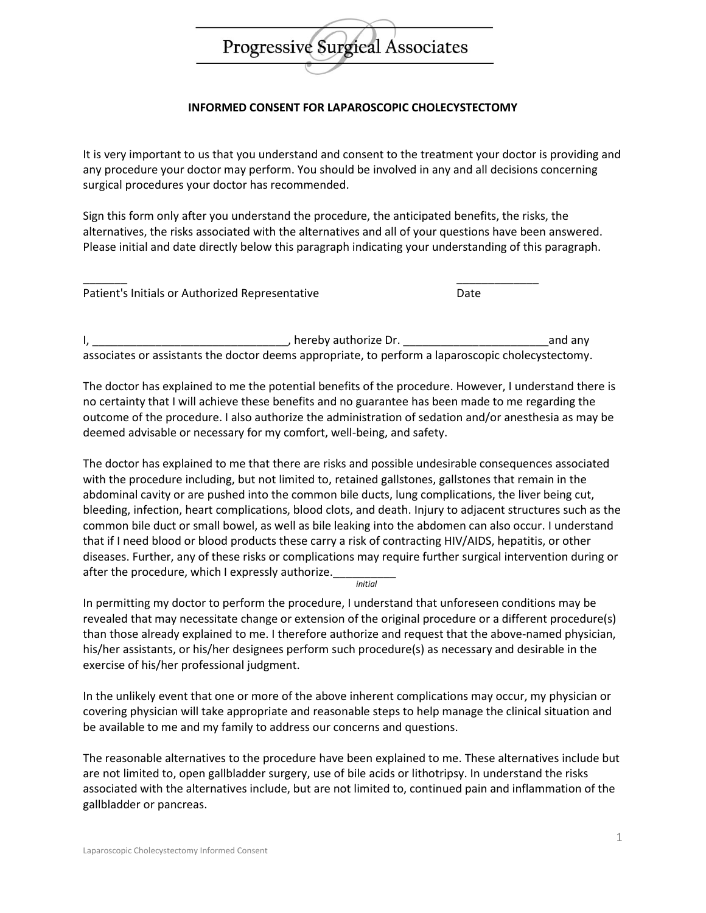## Progressive Surgical Associates

## **INFORMED CONSENT FOR LAPAROSCOPIC CHOLECYSTECTOMY**

It is very important to us that you understand and consent to the treatment your doctor is providing and any procedure your doctor may perform. You should be involved in any and all decisions concerning surgical procedures your doctor has recommended.

Sign this form only after you understand the procedure, the anticipated benefits, the risks, the alternatives, the risks associated with the alternatives and all of your questions have been answered. Please initial and date directly below this paragraph indicating your understanding of this paragraph.

| Patient's Initials or Authorized Representative | Date |
|-------------------------------------------------|------|

I, \_\_\_\_\_\_\_\_\_\_\_\_\_\_\_\_\_\_\_\_\_\_\_\_\_\_\_\_\_\_\_, hereby authorize Dr. \_\_\_\_\_\_\_\_\_\_\_\_\_\_\_\_\_\_\_\_\_\_\_and any associates or assistants the doctor deems appropriate, to perform a laparoscopic cholecystectomy.

The doctor has explained to me the potential benefits of the procedure. However, I understand there is no certainty that I will achieve these benefits and no guarantee has been made to me regarding the outcome of the procedure. I also authorize the administration of sedation and/or anesthesia as may be deemed advisable or necessary for my comfort, well-being, and safety.

The doctor has explained to me that there are risks and possible undesirable consequences associated with the procedure including, but not limited to, retained gallstones, gallstones that remain in the abdominal cavity or are pushed into the common bile ducts, lung complications, the liver being cut, bleeding, infection, heart complications, blood clots, and death. Injury to adjacent structures such as the common bile duct or small bowel, as well as bile leaking into the abdomen can also occur. I understand that if I need blood or blood products these carry a risk of contracting HIV/AIDS, hepatitis, or other diseases. Further, any of these risks or complications may require further surgical intervention during or after the procedure, which I expressly authorize. *initial*

In permitting my doctor to perform the procedure, I understand that unforeseen conditions may be revealed that may necessitate change or extension of the original procedure or a different procedure(s) than those already explained to me. I therefore authorize and request that the above-named physician, his/her assistants, or his/her designees perform such procedure(s) as necessary and desirable in the exercise of his/her professional judgment.

In the unlikely event that one or more of the above inherent complications may occur, my physician or covering physician will take appropriate and reasonable steps to help manage the clinical situation and be available to me and my family to address our concerns and questions.

The reasonable alternatives to the procedure have been explained to me. These alternatives include but are not limited to, open gallbladder surgery, use of bile acids or lithotripsy. In understand the risks associated with the alternatives include, but are not limited to, continued pain and inflammation of the gallbladder or pancreas.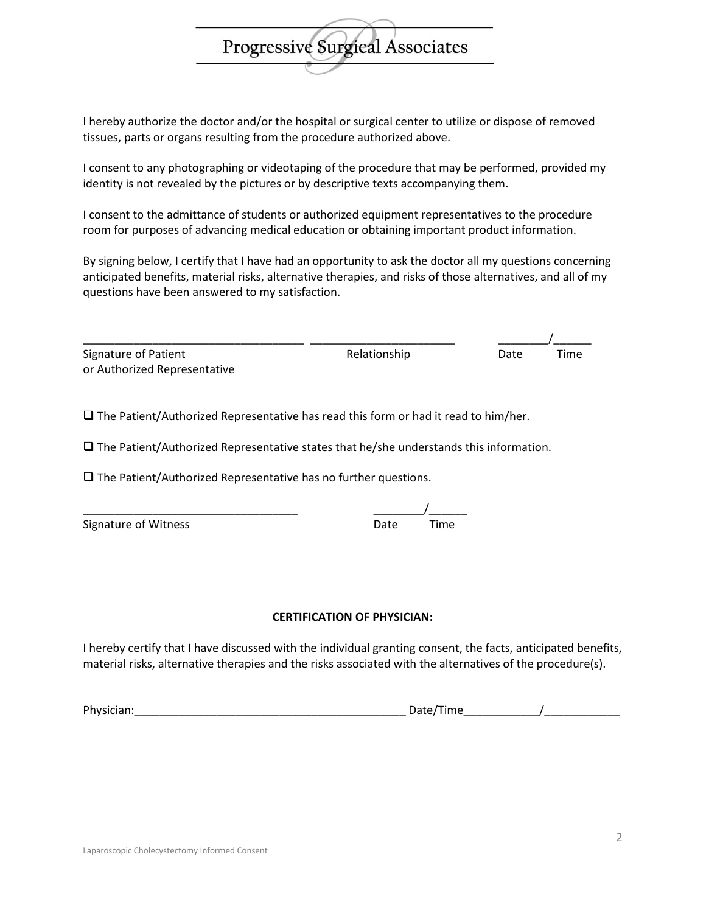I hereby authorize the doctor and/or the hospital or surgical center to utilize or dispose of removed tissues, parts or organs resulting from the procedure authorized above.

I consent to any photographing or videotaping of the procedure that may be performed, provided my identity is not revealed by the pictures or by descriptive texts accompanying them.

I consent to the admittance of students or authorized equipment representatives to the procedure room for purposes of advancing medical education or obtaining important product information.

By signing below, I certify that I have had an opportunity to ask the doctor all my questions concerning anticipated benefits, material risks, alternative therapies, and risks of those alternatives, and all of my questions have been answered to my satisfaction.

| Signature of Patient         | Relationship | Date | Time |
|------------------------------|--------------|------|------|
| or Authorized Representative |              |      |      |

 $\square$  The Patient/Authorized Representative has read this form or had it read to him/her.

 $\square$  The Patient/Authorized Representative states that he/she understands this information.

 $\square$  The Patient/Authorized Representative has no further questions.

| Signature of Witness | Date | Time |
|----------------------|------|------|
|                      |      |      |

## **CERTIFICATION OF PHYSICIAN:**

I hereby certify that I have discussed with the individual granting consent, the facts, anticipated benefits, material risks, alternative therapies and the risks associated with the alternatives of the procedure(s).

2



Physician:\_\_\_\_\_\_\_\_\_\_\_\_\_\_\_\_\_\_\_\_\_\_\_\_\_\_\_\_\_\_\_\_\_\_\_\_\_\_\_\_\_\_\_ Date/Time\_\_\_\_\_\_\_\_\_\_\_\_/\_\_\_\_\_\_\_\_\_\_\_\_

\_\_\_\_\_\_\_\_\_\_\_\_\_\_\_\_\_\_\_\_\_\_\_\_\_\_\_\_\_\_\_\_\_\_ \_\_\_\_\_\_\_\_/\_\_\_\_\_\_